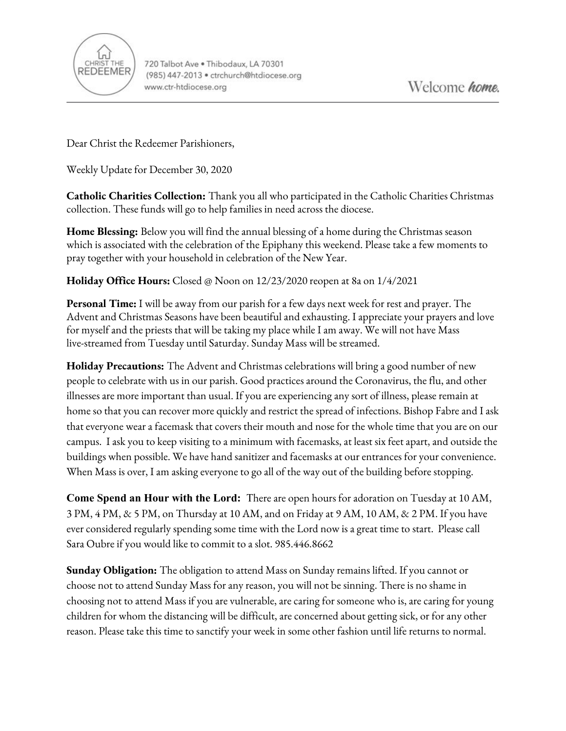

Dear Christ the Redeemer Parishioners,

Weekly Update for December 30, 2020

**Catholic Charities Collection:** Thank you all who participated in the Catholic Charities Christmas collection. These funds will go to help families in need across the diocese.

**Home Blessing:** Below you will find the annual blessing of a home during the Christmas season which is associated with the celebration of the Epiphany this weekend. Please take a few moments to pray together with your household in celebration of the New Year.

**Holiday Office Hours:** Closed @ Noon on 12/23/2020 reopen at 8a on 1/4/2021

**Personal Time:** I will be away from our parish for a few days next week for rest and prayer. The Advent and Christmas Seasons have been beautiful and exhausting. I appreciate your prayers and love for myself and the priests that will be taking my place while I am away. We will not have Mass live-streamed from Tuesday until Saturday. Sunday Mass will be streamed.

**Holiday Precautions:** The Advent and Christmas celebrations will bring a good number of new people to celebrate with us in our parish. Good practices around the Coronavirus, the flu, and other illnesses are more important than usual. If you are experiencing any sort of illness, please remain at home so that you can recover more quickly and restrict the spread of infections. Bishop Fabre and I ask that everyone wear a facemask that covers their mouth and nose for the whole time that you are on our campus. I ask you to keep visiting to a minimum with facemasks, at least six feet apart, and outside the buildings when possible. We have hand sanitizer and facemasks at our entrances for your convenience. When Mass is over, I am asking everyone to go all of the way out of the building before stopping.

**Come Spend an Hour with the Lord:** There are open hours for adoration on Tuesday at 10 AM, 3 PM, 4 PM, & 5 PM, on Thursday at 10 AM, and on Friday at 9 AM, 10 AM, & 2 PM. If you have ever considered regularly spending some time with the Lord now is a great time to start. Please call Sara Oubre if you would like to commit to a slot. 985.446.8662

**Sunday Obligation:** The obligation to attend Mass on Sunday remains lifted. If you cannot or choose not to attend Sunday Mass for any reason, you will not be sinning. There is no shame in choosing not to attend Mass if you are vulnerable, are caring for someone who is, are caring for young children for whom the distancing will be difficult, are concerned about getting sick, or for any other reason. Please take this time to sanctify your week in some other fashion until life returns to normal.